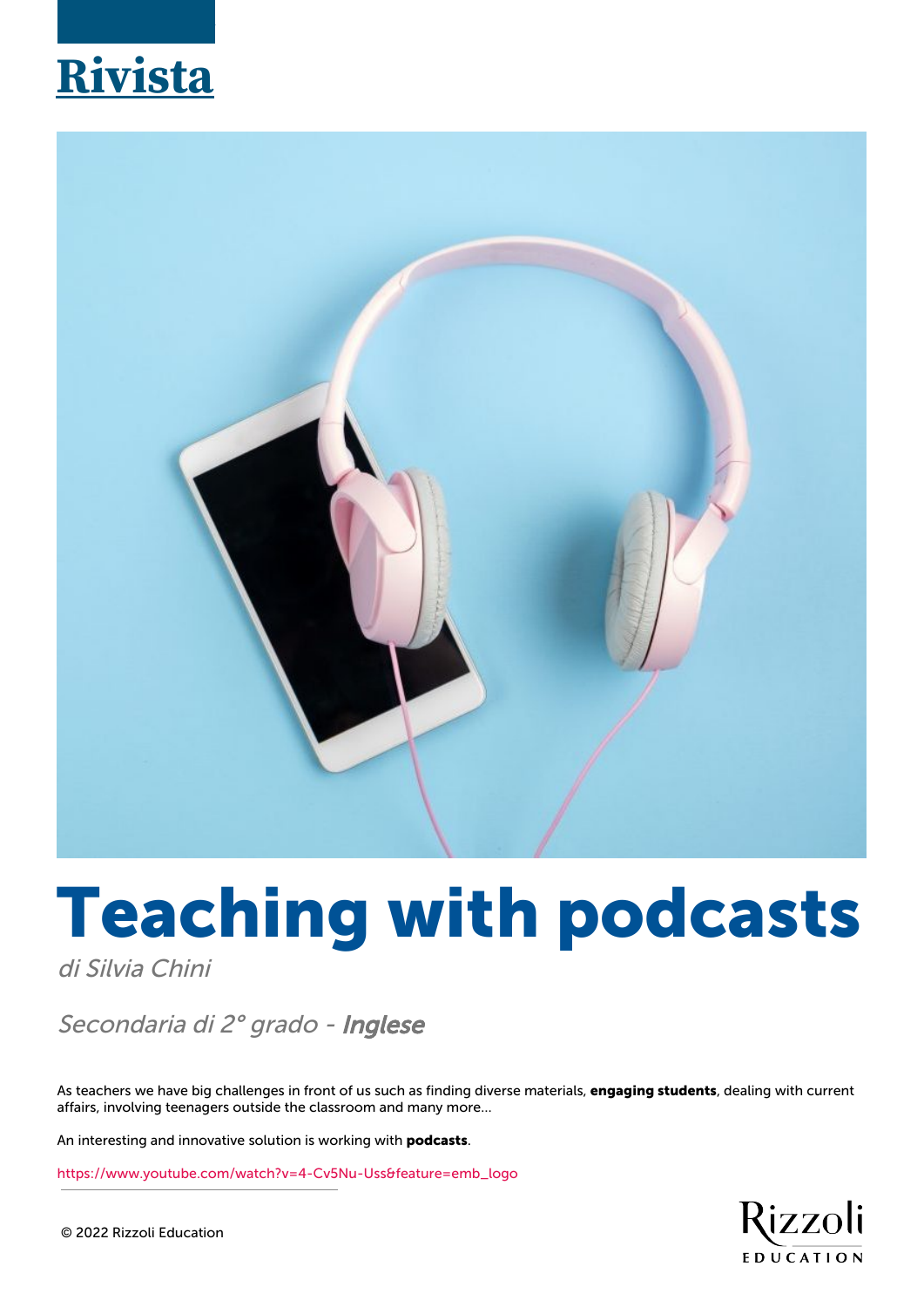## **Rivista**



# **Teaching with podcasts**

di Silvia Chini

### Secondaria di 2° grado - Inglese

As teachers we have big challenges in front of us such as finding diverse materials, **engaging students**, dealing with current affairs, involving teenagers outside the classroom and many more…

An interesting and innovative solution is working with **podcasts**.

[https://www.youtube.com/watch?v=4-Cv5Nu-Uss&feature=emb\\_logo](https://www.youtube.com/watch?v=4-Cv5Nu-Uss&feature=emb_logo)

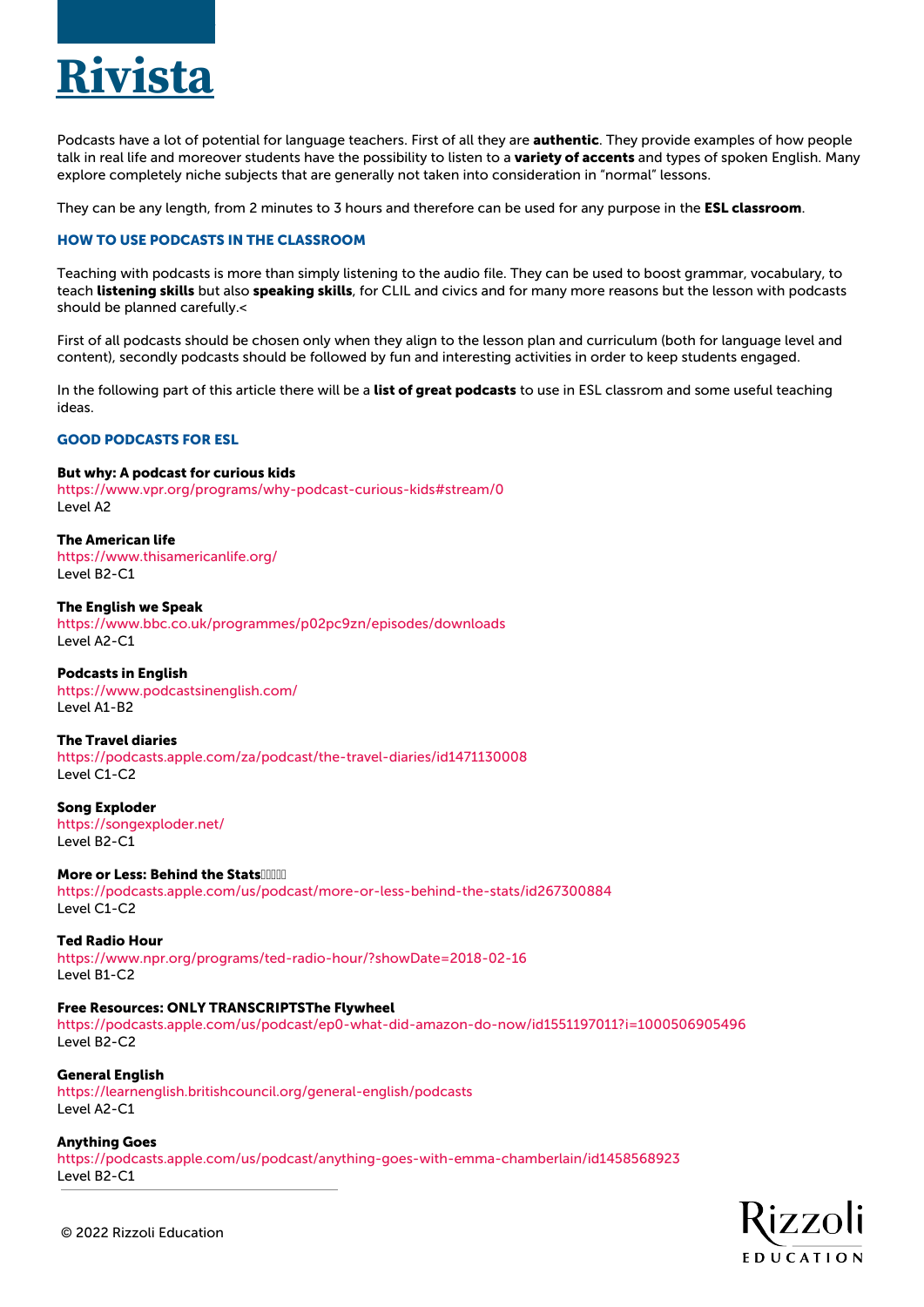

Podcasts have a lot of potential for language teachers. First of all they are **authentic**. They provide examples of how people talk in real life and moreover students have the possibility to listen to a **variety of accents** and types of spoken English. Many explore completely niche subjects that are generally not taken into consideration in "normal" lessons.

They can be any length, from 2 minutes to 3 hours and therefore can be used for any purpose in the **ESL classroom**.

#### **HOW TO USE PODCASTS IN THE CLASSROOM**

Teaching with podcasts is more than simply listening to the audio file. They can be used to boost grammar, vocabulary, to teach **listening skills** but also **speaking skills**, for CLIL and civics and for many more reasons but the lesson with podcasts should be planned carefully.<

First of all podcasts should be chosen only when they align to the lesson plan and curriculum (both for language level and content), secondly podcasts should be followed by fun and interesting activities in order to keep students engaged.

In the following part of this article there will be a **list of great podcasts** to use in ESL classrom and some useful teaching ideas.

#### **GOOD PODCASTS FOR ESL**

#### **But why: A podcast for curious kids**

<https://www.vpr.org/programs/why-podcast-curious-kids#stream/0> Level A2

**The American life** <https://www.thisamericanlife.org/> Level B2-C1

**The English we Speak** <https://www.bbc.co.uk/programmes/p02pc9zn/episodes/downloads> Level A2-C1

#### **Podcasts in English**

<https://www.podcastsinenglish.com/> Level A1-B2

**The Travel diaries**

<https://podcasts.apple.com/za/podcast/the-travel-diaries/id1471130008> Level C1-C2

**Song Exploder** <https://songexploder.net/> Level B2-C1

**More or Less: Behind the Stats** <https://podcasts.apple.com/us/podcast/more-or-less-behind-the-stats/id267300884> Level C1-C2

**Ted Radio Hour** <https://www.npr.org/programs/ted-radio-hour/?showDate=2018-02-16> Level B1-C2

#### **Free Resources: ONLY TRANSCRIPTSThe Flywheel**

<https://podcasts.apple.com/us/podcast/ep0-what-did-amazon-do-now/id1551197011?i=1000506905496> Level B2-C2

**General English**

<https://learnenglish.britishcouncil.org/general-english/podcasts> Level A2-C1

**Anything Goes** <https://podcasts.apple.com/us/podcast/anything-goes-with-emma-chamberlain/id1458568923> Level B2-C1

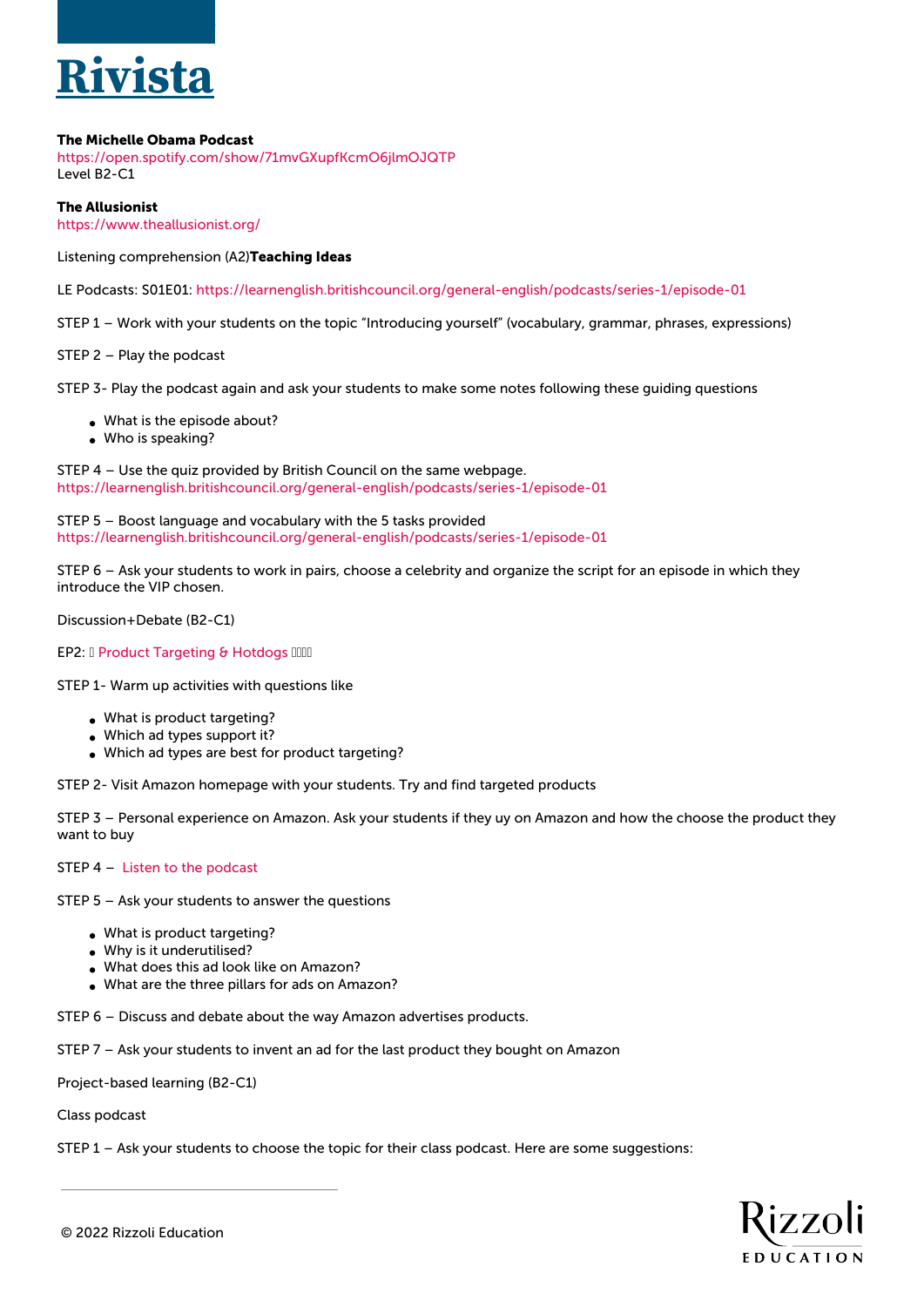

#### **The Michelle Obama Podcast**

<https://open.spotify.com/show/71mvGXupfKcmO6jlmOJQTP> Level B2-C1

**The Allusionist**

<https://www.theallusionist.org/>

Listening comprehension (A2)**Teaching Ideas**

LE Podcasts: S01E01: <https://learnenglish.britishcouncil.org/general-english/podcasts/series-1/episode-01>

STEP 1 – Work with your students on the topic "Introducing yourself" (vocabulary, grammar, phrases, expressions)

STEP 2 – Play the podcast

STEP 3- Play the podcast again and ask your students to make some notes following these guiding questions

- What is the episode about?
- Who is speaking?

STEP 4 – Use the quiz provided by British Council on the same webpage. <https://learnenglish.britishcouncil.org/general-english/podcasts/series-1/episode-01>

STEP 5 – Boost language and vocabulary with the 5 tasks provided <https://learnenglish.britishcouncil.org/general-english/podcasts/series-1/episode-01>

STEP 6 – Ask your students to work in pairs, choose a celebrity and organize the script for an episode in which they introduce the VIP chosen.

Discussion+Debate (B2-C1)

EP2: I [Product Targeting & Hotdogs](https://podcasts.apple.com/us/podcast/ep2-product-targeting-hotdogs/id1551197011?i=1000508381726) IIIII

STEP 1- Warm up activities with questions like

- What is product targeting?
- Which ad types support it?
- Which ad types are best for product targeting?

STEP 2- Visit Amazon homepage with your students. Try and find targeted products

STEP 3 – Personal experience on Amazon. Ask your students if they uy on Amazon and how the choose the product they want to buy

STEP 4 – [Listen to the podcast](https://podcasts.apple.com/us/podcast/ep2-product-targeting-hotdogs/id1551197011?i=1000508381726)

STEP 5 – Ask your students to answer the questions

- What is product targeting?
- Why is it underutilised?
- What does this ad look like on Amazon?
- What are the three pillars for ads on Amazon?

STEP 6 – Discuss and debate about the way Amazon advertises products.

STEP 7 – Ask your students to invent an ad for the last product they bought on Amazon

Project-based learning (B2-C1)

Class podcast

STEP 1 – Ask your students to choose the topic for their class podcast. Here are some suggestions:

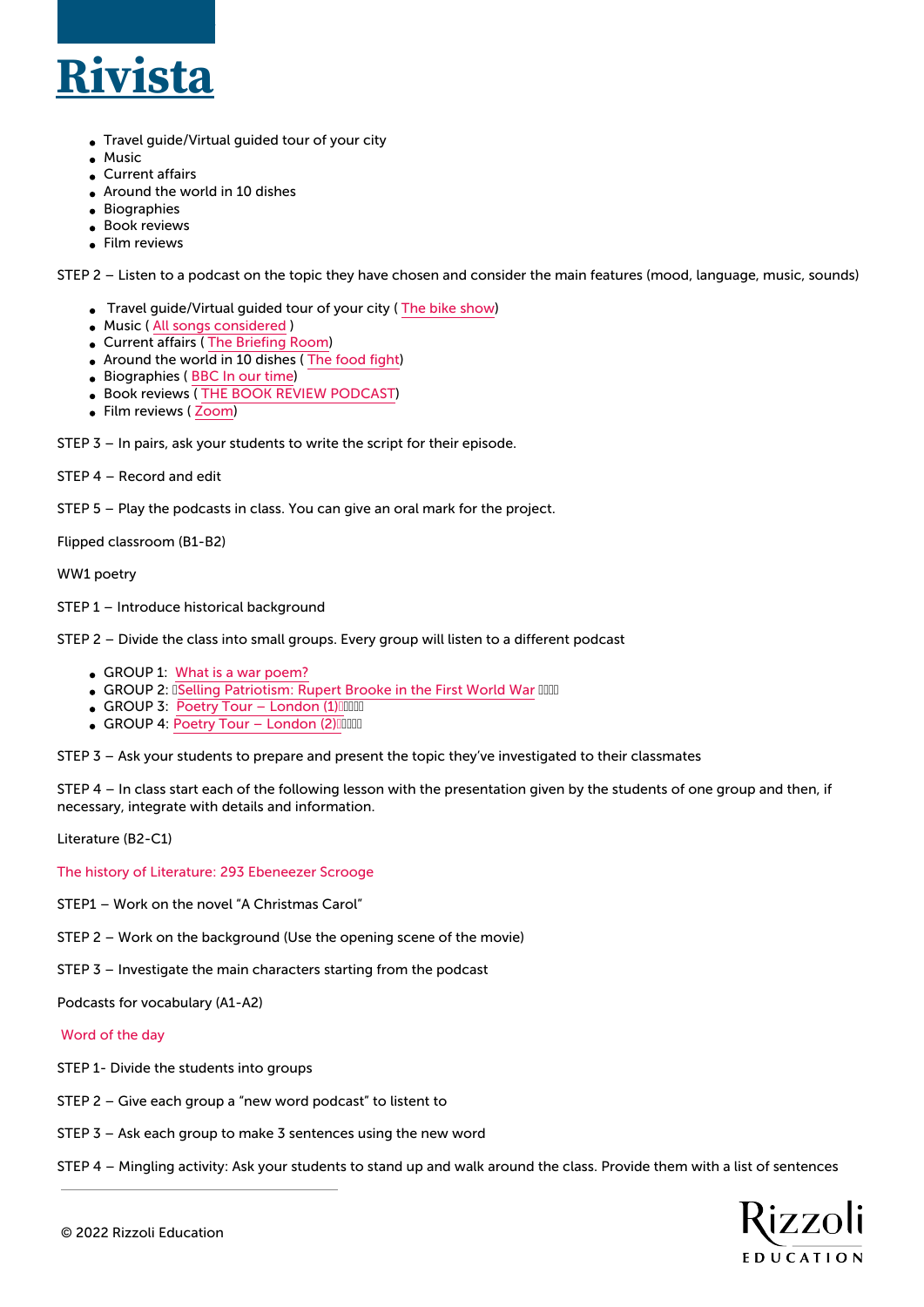

- Travel guide/Virtual guided tour of your city
- Music
- Current affairs
- Around the world in 10 dishes
- Biographies
- Book reviews
- Film reviews

STEP 2 – Listen to a podcast on the topic they have chosen and consider the main features (mood, language, music, sounds)

- Travel guide/Virtual guided tour of your city ( [The bike show\)](http://thebikeshow.net/)
- Music ( [All songs considered](https://podcasts.google.com/feed/aHR0cHM6Ly9mZWVkcy5ucHIub3JnLzUxMDAxOS9wb2RjYXN0LnhtbA?sa=X&ved=0CAMQ4aUDahcKEwiImZSQ6f_uAhUAAAAAHQAAAAAQAg&hl=it) )
- Current affairs ( [The Briefing Room\)](https://player.fm/series/the-briefing-room-1301271)
- Around the world in 10 dishes ( [The food fight\)](https://player.fm/series/the-food-fight)
- Biographies ( [BBC In our time](https://www.bbc.co.uk/programmes/b006qykl))
- **Book reviews ([THE BOOK REVIEW PODCAST\)](https://www.nytimes.com/column/book-review-podcast)**
- Film reviews ([Zoom](https://art19.com/shows/zoom))

STEP 3 – In pairs, ask your students to write the script for their episode.

STEP 4 – Record and edit

STEP 5 – Play the podcasts in class. You can give an oral mark for the project.

Flipped classroom (B1-B2)

WW1 poetry

- STEP 1 Introduce historical background
- STEP 2 Divide the class into small groups. Every group will listen to a different podcast
	- GROUP 1: [What is a war poem?](https://podcasts.ox.ac.uk/what-war-poem)
	- GROUP 2: **I[Selling Patriotism: Rupert Brooke in the First World War](https://podcasts.apple.com/us/podcast/alisa-miller-selling-patriotism-rupert-brooke-in-first/id483392080?i=1000410388179) IIIII**
	- GROUP 3: Poetry Tour London (1) IIIII
	- GROUP 4: Poetry Tour London (2)

STEP 3 – Ask your students to prepare and present the topic they've investigated to their classmates

STEP 4 – In class start each of the following lesson with the presentation given by the students of one group and then, if necessary, integrate with details and information.

Literature (B2-C1)

[The history of Literature: 293 Ebeneezer Scrooge](https://podcasts.google.com/feed/aHR0cHM6Ly9mZWVkcy5tZWdhcGhvbmUuZm0vaGlzdG9yeS1vZi1saXRlcmF0dXJl/episode/MDA0ZjA2NzAtNDJjZS0xMWViLTk1NzItNWY0NTljMzRhYTZi?sa=X&ved=0CAUQkfYCahcKEwjoqKK8r4DvAhUAAAAAHQAAAAAQAQ) 

- STEP1 Work on the novel "A Christmas Carol"
- STEP 2 Work on the background (Use the opening scene of the movie)
- STEP 3 Investigate the main characters starting from the podcast

Podcasts for vocabulary (A1-A2)

#### [Word of the day](https://www.dictionary.com/e/word-of-the-day/)

- STEP 1- Divide the students into groups
- STEP 2 Give each group a "new word podcast" to listent to
- STEP 3 Ask each group to make 3 sentences using the new word
- STEP 4 Mingling activity: Ask your students to stand up and walk around the class. Provide them with a list of sentences